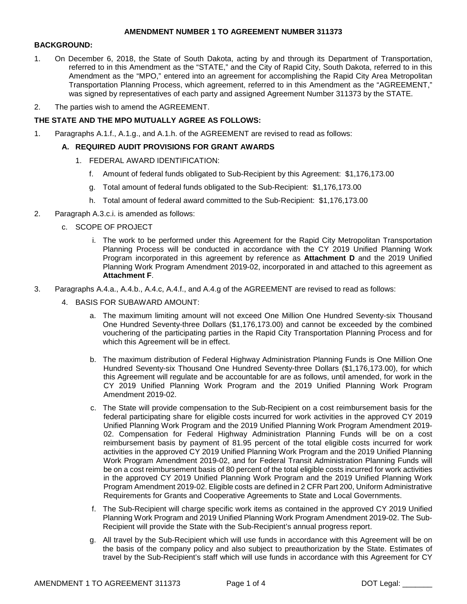### **AMENDMENT NUMBER 1 TO AGREEMENT NUMBER 311373**

#### **BACKGROUND:**

- 1. On December 6, 2018, the State of South Dakota, acting by and through its Department of Transportation, referred to in this Amendment as the "STATE," and the City of Rapid City, South Dakota, referred to in this Amendment as the "MPO," entered into an agreement for accomplishing the Rapid City Area Metropolitan Transportation Planning Process, which agreement, referred to in this Amendment as the "AGREEMENT," was signed by representatives of each party and assigned Agreement Number 311373 by the STATE.
- 2. The parties wish to amend the AGREEMENT.

# **THE STATE AND THE MPO MUTUALLY AGREE AS FOLLOWS:**

1. Paragraphs A.1.f., A.1.g., and A.1.h. of the AGREEMENT are revised to read as follows:

# **A. REQUIRED AUDIT PROVISIONS FOR GRANT AWARDS**

- 1. FEDERAL AWARD IDENTIFICATION:
	- f. Amount of federal funds obligated to Sub-Recipient by this Agreement: \$1,176,173.00
	- g. Total amount of federal funds obligated to the Sub-Recipient: \$1,176,173.00
	- h. Total amount of federal award committed to the Sub-Recipient: \$1,176,173.00
- 2. Paragraph A.3.c.i. is amended as follows:
	- c. SCOPE OF PROJECT
		- i. The work to be performed under this Agreement for the Rapid City Metropolitan Transportation Planning Process will be conducted in accordance with the CY 2019 Unified Planning Work Program incorporated in this agreement by reference as **Attachment D** and the 2019 Unified Planning Work Program Amendment 2019-02, incorporated in and attached to this agreement as **Attachment F**.
- 3. Paragraphs A.4.a., A.4.b., A.4.c, A.4.f., and A.4.g of the AGREEMENT are revised to read as follows:
	- 4. BASIS FOR SUBAWARD AMOUNT:
		- a. The maximum limiting amount will not exceed One Million One Hundred Seventy-six Thousand One Hundred Seventy-three Dollars (\$1,176,173.00) and cannot be exceeded by the combined vouchering of the participating parties in the Rapid City Transportation Planning Process and for which this Agreement will be in effect.
		- b. The maximum distribution of Federal Highway Administration Planning Funds is One Million One Hundred Seventy-six Thousand One Hundred Seventy-three Dollars (\$1,176,173.00), for which this Agreement will regulate and be accountable for are as follows, until amended, for work in the CY 2019 Unified Planning Work Program and the 2019 Unified Planning Work Program Amendment 2019-02.
		- c. The State will provide compensation to the Sub-Recipient on a cost reimbursement basis for the federal participating share for eligible costs incurred for work activities in the approved CY 2019 Unified Planning Work Program and the 2019 Unified Planning Work Program Amendment 2019- 02. Compensation for Federal Highway Administration Planning Funds will be on a cost reimbursement basis by payment of 81.95 percent of the total eligible costs incurred for work activities in the approved CY 2019 Unified Planning Work Program and the 2019 Unified Planning Work Program Amendment 2019-02, and for Federal Transit Administration Planning Funds will be on a cost reimbursement basis of 80 percent of the total eligible costs incurred for work activities in the approved CY 2019 Unified Planning Work Program and the 2019 Unified Planning Work Program Amendment 2019-02. Eligible costs are defined in 2 CFR Part 200, Uniform Administrative Requirements for Grants and Cooperative Agreements to State and Local Governments.
		- f. The Sub-Recipient will charge specific work items as contained in the approved CY 2019 Unified Planning Work Program and 2019 Unified Planning Work Program Amendment 2019-02. The Sub-Recipient will provide the State with the Sub-Recipient's annual progress report.
		- g. All travel by the Sub-Recipient which will use funds in accordance with this Agreement will be on the basis of the company policy and also subject to preauthorization by the State. Estimates of travel by the Sub-Recipient's staff which will use funds in accordance with this Agreement for CY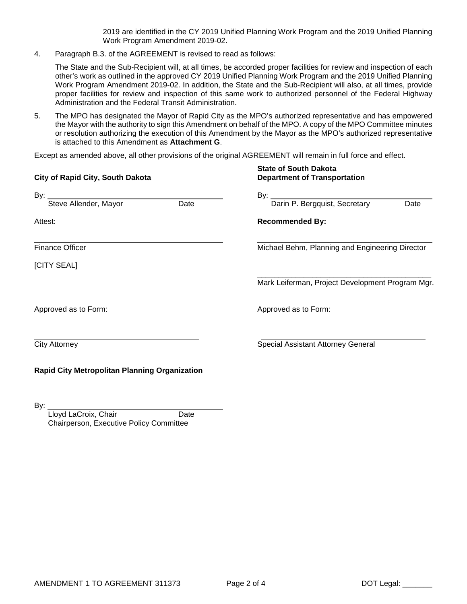2019 are identified in the CY 2019 Unified Planning Work Program and the 2019 Unified Planning Work Program Amendment 2019-02.

4. Paragraph B.3. of the AGREEMENT is revised to read as follows:

The State and the Sub-Recipient will, at all times, be accorded proper facilities for review and inspection of each other's work as outlined in the approved CY 2019 Unified Planning Work Program and the 2019 Unified Planning Work Program Amendment 2019-02. In addition, the State and the Sub-Recipient will also, at all times, provide proper facilities for review and inspection of this same work to authorized personnel of the Federal Highway Administration and the Federal Transit Administration.

5. The MPO has designated the Mayor of Rapid City as the MPO's authorized representative and has empowered the Mayor with the authority to sign this Amendment on behalf of the MPO. A copy of the MPO Committee minutes or resolution authorizing the execution of this Amendment by the Mayor as the MPO's authorized representative is attached to this Amendment as **Attachment G**.

Except as amended above, all other provisions of the original AGREEMENT will remain in full force and effect.

| City of Rapid City, South Dakota              |      | <b>State of South Dakota</b><br><b>Department of Transportation</b><br>By: $\overline{\phantom{a}}$ |  |  |  |  |
|-----------------------------------------------|------|-----------------------------------------------------------------------------------------------------|--|--|--|--|
| By:                                           |      |                                                                                                     |  |  |  |  |
| Steve Allender, Mayor                         | Date | Darin P. Bergquist, Secretary<br>Date                                                               |  |  |  |  |
| Attest:                                       |      | <b>Recommended By:</b>                                                                              |  |  |  |  |
| <b>Finance Officer</b>                        |      | Michael Behm, Planning and Engineering Director                                                     |  |  |  |  |
| [CITY SEAL]                                   |      |                                                                                                     |  |  |  |  |
|                                               |      | Mark Leiferman, Project Development Program Mgr.                                                    |  |  |  |  |
| Approved as to Form:                          |      | Approved as to Form:                                                                                |  |  |  |  |
| <b>City Attorney</b>                          |      | <b>Special Assistant Attorney General</b>                                                           |  |  |  |  |
| Rapid City Metropolitan Planning Organization |      |                                                                                                     |  |  |  |  |

By:

Lloyd LaCroix, Chair **Date** Chairperson, Executive Policy Committee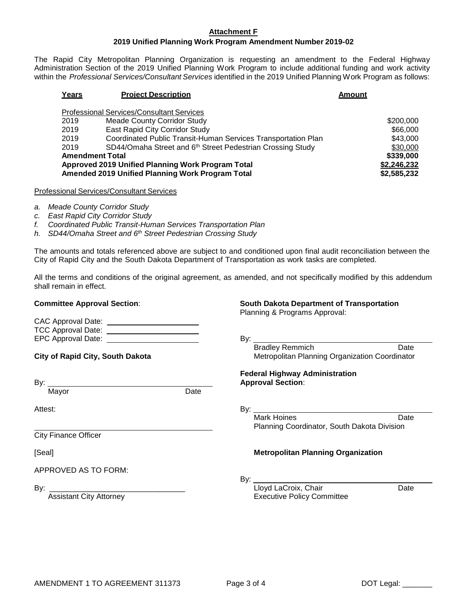#### **Attachment F**

# **2019 Unified Planning Work Program Amendment Number 2019-02**

The Rapid City Metropolitan Planning Organization is requesting an amendment to the Federal Highway Administration Section of the 2019 Unified Planning Work Program to include additional funding and work activity within the *Professional Services/Consultant Services* identified in the 2019 Unified Planning Work Program as follows:

| Years                                             | <b>Project Description</b>                                             | <b>Amount</b> |  |  |  |
|---------------------------------------------------|------------------------------------------------------------------------|---------------|--|--|--|
| <b>Professional Services/Consultant Services</b>  |                                                                        |               |  |  |  |
| 2019                                              | <b>Meade County Corridor Study</b>                                     | \$200,000     |  |  |  |
| 2019                                              | East Rapid City Corridor Study                                         | \$66,000      |  |  |  |
| 2019                                              | Coordinated Public Transit-Human Services Transportation Plan          | \$43,000      |  |  |  |
| 2019                                              | SD44/Omaha Street and 6 <sup>th</sup> Street Pedestrian Crossing Study | \$30,000      |  |  |  |
| <b>Amendment Total</b>                            | \$339,000                                                              |               |  |  |  |
| Approved 2019 Unified Planning Work Program Total |                                                                        | \$2,246,232   |  |  |  |
| Amended 2019 Unified Planning Work Program Total  | \$2,585,232                                                            |               |  |  |  |

Professional Services/Consultant Services

- *a. Meade County Corridor Study*
- *c. East Rapid City Corridor Study*
- *f. Coordinated Public Transit-Human Services Transportation Plan*
- *h. SD44/Omaha Street and 6th Street Pedestrian Crossing Study*

The amounts and totals referenced above are subject to and conditioned upon final audit reconciliation between the City of Rapid City and the South Dakota Department of Transportation as work tasks are completed.

All the terms and conditions of the original agreement, as amended, and not specifically modified by this addendum shall remain in effect.

CAC Approval Date:

**Committee Approval Section**: **South Dakota Department of Transportation**

Planning & Programs Approval:

| <b>CAC Apploval Date.</b> |     |
|---------------------------|-----|
| <b>TCC Approval Date:</b> |     |
| EPC Approval Date:        | Bv: |
|                           |     |

**City of Rapid City, South Dakota** Metropolitan Planning Organization Coordinator

Mayor Date

Attest: By:

City Finance Officer

APPROVED AS TO FORM:

**Federal Highway Administration** By: **Approval Section**:

Mark Hoines **Date** Planning Coordinator, South Dakota Division

Bradley Remmich Date

#### [Seal] **Metropolitan Planning Organization**

By:

By: \_\_\_\_\_\_\_\_\_\_\_\_\_\_\_\_\_\_\_\_\_\_\_\_\_\_\_\_\_\_\_\_ Lloyd LaCroix, Chair Date **Executive Policy Committee**